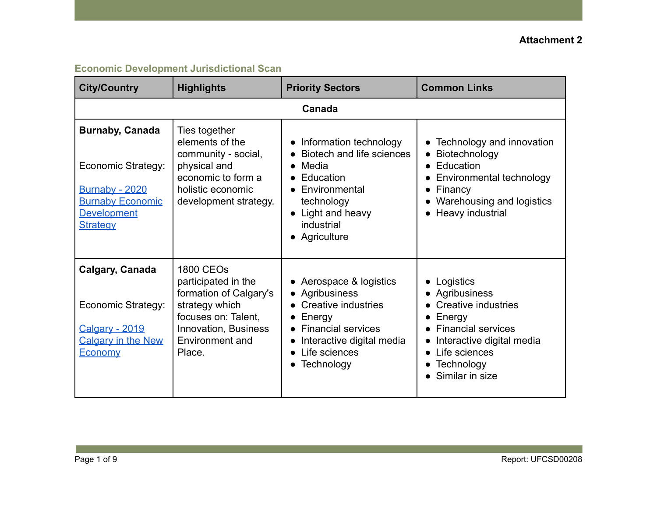| <b>City/Country</b>                                                                                                                       | <b>Highlights</b>                                                                                                                                                      | <b>Priority Sectors</b>                                                                                                                                                                     | <b>Common Links</b>                                                                                                                                                                                                                                  |  |  |
|-------------------------------------------------------------------------------------------------------------------------------------------|------------------------------------------------------------------------------------------------------------------------------------------------------------------------|---------------------------------------------------------------------------------------------------------------------------------------------------------------------------------------------|------------------------------------------------------------------------------------------------------------------------------------------------------------------------------------------------------------------------------------------------------|--|--|
|                                                                                                                                           | Canada                                                                                                                                                                 |                                                                                                                                                                                             |                                                                                                                                                                                                                                                      |  |  |
| <b>Burnaby, Canada</b><br>Economic Strategy:<br><b>Burnaby - 2020</b><br><b>Burnaby Economic</b><br><b>Development</b><br><b>Strategy</b> | Ties together<br>elements of the<br>community - social,<br>physical and<br>economic to form a<br>holistic economic<br>development strategy.                            | • Information technology<br>Biotech and life sciences<br>Media<br>$\bullet$<br>Education<br>Environmental<br>technology<br>• Light and heavy<br>industrial<br>• Agriculture                 | Technology and innovation<br>$\bullet$<br>Biotechnology<br>$\bullet$<br>Education<br>$\bullet$<br>Environmental technology<br>$\bullet$<br>Financy<br>Warehousing and logistics<br>Heavy industrial<br>$\bullet$                                     |  |  |
| Calgary, Canada<br>Economic Strategy:<br><b>Calgary - 2019</b><br><b>Calgary in the New</b><br>Economy                                    | <b>1800 CEOs</b><br>participated in the<br>formation of Calgary's<br>strategy which<br>focuses on: Talent,<br><b>Innovation, Business</b><br>Environment and<br>Place. | Aerospace & logistics<br>• Agribusiness<br>Creative industries<br>Energy<br>$\bullet$<br><b>Financial services</b><br>Interactive digital media<br>Life sciences<br>Technology<br>$\bullet$ | Logistics<br>$\bullet$<br>Agribusiness<br>$\bullet$<br>Creative industries<br>Energy<br>$\bullet$<br><b>Financial services</b><br>$\bullet$<br>Interactive digital media<br>Life sciences<br>$\bullet$<br>Technology<br>$\bullet$<br>Similar in size |  |  |

# **Economic Development Jurisdictional Scan**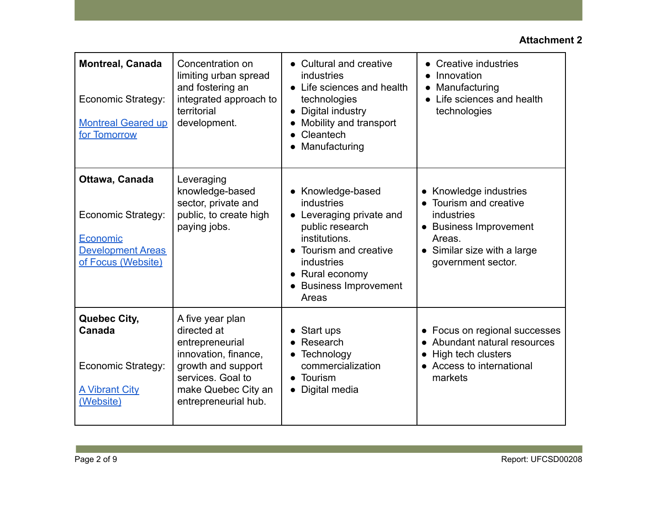| <b>Montreal, Canada</b><br>Economic Strategy:<br><b>Montreal Geared up</b><br>for Tomorrow         | Concentration on<br>limiting urban spread<br>and fostering an<br>integrated approach to<br>territorial<br>development.                                               | • Cultural and creative<br>industries<br>• Life sciences and health<br>technologies<br>Digital industry<br>$\bullet$<br>Mobility and transport<br>Cleantech<br>Manufacturing                  | Creative industries<br>$\bullet$<br>Innovation<br>Manufacturing<br>$\bullet$<br>Life sciences and health<br>$\bullet$<br>technologies               |
|----------------------------------------------------------------------------------------------------|----------------------------------------------------------------------------------------------------------------------------------------------------------------------|-----------------------------------------------------------------------------------------------------------------------------------------------------------------------------------------------|-----------------------------------------------------------------------------------------------------------------------------------------------------|
| Ottawa, Canada<br>Economic Strategy:<br>Economic<br><b>Development Areas</b><br>of Focus (Website) | Leveraging<br>knowledge-based<br>sector, private and<br>public, to create high<br>paying jobs.                                                                       | • Knowledge-based<br>industries<br>• Leveraging private and<br>public research<br>institutions.<br>• Tourism and creative<br>industries<br>• Rural economy<br>• Business Improvement<br>Areas | Knowledge industries<br>Tourism and creative<br>industries<br>• Business Improvement<br>Areas.<br>• Similar size with a large<br>government sector. |
| Quebec City,<br>Canada<br>Economic Strategy:<br><b>A Vibrant City</b><br>(Website)                 | A five year plan<br>directed at<br>entrepreneurial<br>innovation, finance,<br>growth and support<br>services. Goal to<br>make Quebec City an<br>entrepreneurial hub. | Start ups<br>Research<br>• Technology<br>commercialization<br>$\bullet$ Tourism<br>Digital media                                                                                              | • Focus on regional successes<br>• Abundant natural resources<br>High tech clusters<br>• Access to international<br>markets                         |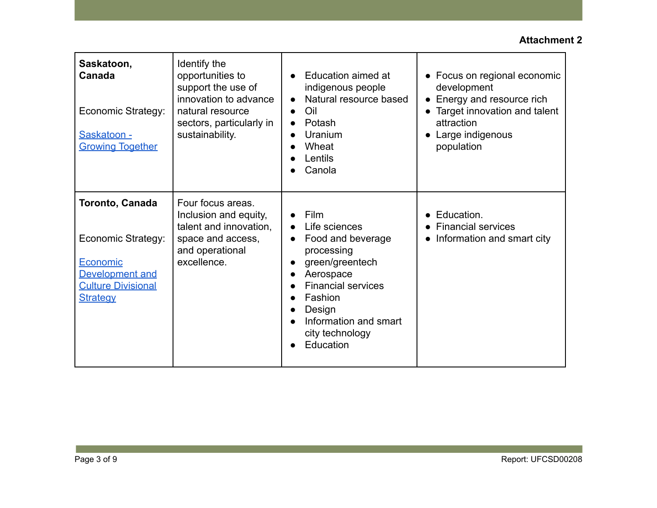| Saskatoon,<br>Canada<br>Economic Strategy:<br>Saskatoon -<br><b>Growing Together</b>                                 | Identify the<br>opportunities to<br>support the use of<br>innovation to advance<br>natural resource<br>sectors, particularly in<br>sustainability. | Education aimed at<br>indigenous people<br>Natural resource based<br>Oil<br>Potash<br>Uranium<br>Wheat<br>Lentils<br>Canola                                                                                                          | • Focus on regional economic<br>development<br>Energy and resource rich<br>• Target innovation and talent<br>attraction<br>• Large indigenous<br>population |
|----------------------------------------------------------------------------------------------------------------------|----------------------------------------------------------------------------------------------------------------------------------------------------|--------------------------------------------------------------------------------------------------------------------------------------------------------------------------------------------------------------------------------------|-------------------------------------------------------------------------------------------------------------------------------------------------------------|
| Toronto, Canada<br>Economic Strategy:<br>Economic<br>Development and<br><b>Culture Divisional</b><br><b>Strategy</b> | Four focus areas.<br>Inclusion and equity,<br>talent and innovation,<br>space and access,<br>and operational<br>excellence.                        | <b>Film</b><br>Life sciences<br>$\bullet$<br>Food and beverage<br>$\bullet$<br>processing<br>green/greentech<br>Aerospace<br><b>Financial services</b><br>Fashion<br>Design<br>Information and smart<br>city technology<br>Education | • Education.<br><b>Financial services</b><br>Information and smart city<br>$\bullet$                                                                        |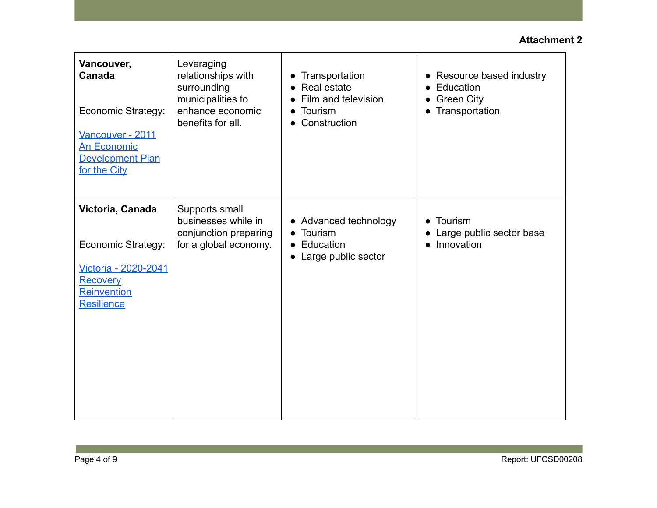| Vancouver,<br>Canada<br>Economic Strategy:<br>Vancouver - 2011<br><b>An Economic</b><br><b>Development Plan</b><br>for the City | Leveraging<br>relationships with<br>surrounding<br>municipalities to<br>enhance economic<br>benefits for all. | Transportation<br>Real estate<br>Film and television<br>Tourism<br>Construction<br>$\bullet$ | Resource based industry<br>$\bullet$<br>Education<br><b>Green City</b><br>$\bullet$<br>Transportation |
|---------------------------------------------------------------------------------------------------------------------------------|---------------------------------------------------------------------------------------------------------------|----------------------------------------------------------------------------------------------|-------------------------------------------------------------------------------------------------------|
| Victoria, Canada<br>Economic Strategy:<br>Victoria - 2020-2041<br><b>Recovery</b><br><b>Reinvention</b><br><b>Resilience</b>    | Supports small<br>businesses while in<br>conjunction preparing<br>for a global economy.                       | • Advanced technology<br>Tourism<br>Education<br>$\bullet$<br>• Large public sector          | Tourism<br>$\bullet$<br>Large public sector base<br>Innovation                                        |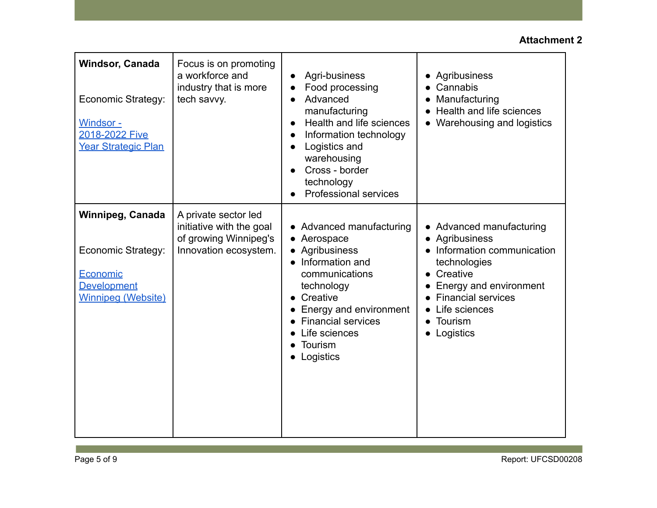| Windsor, Canada<br><b>Economic Strategy:</b><br>Windsor -<br>2018-2022 Five<br>Year Strategic Plan           | Focus is on promoting<br>a workforce and<br>industry that is more<br>tech savvy.                   | Agri-business<br>$\bullet$<br>Food processing<br>Advanced<br>manufacturing<br>Health and life sciences<br>Information technology<br>Logistics and<br>warehousing<br>Cross - border<br>technology<br><b>Professional services</b> | Agribusiness<br>$\bullet$<br>Cannabis<br>Manufacturing<br>Health and life sciences<br>Warehousing and logistics                                                                                                                 |
|--------------------------------------------------------------------------------------------------------------|----------------------------------------------------------------------------------------------------|----------------------------------------------------------------------------------------------------------------------------------------------------------------------------------------------------------------------------------|---------------------------------------------------------------------------------------------------------------------------------------------------------------------------------------------------------------------------------|
| Winnipeg, Canada<br><b>Economic Strategy:</b><br>Economic<br><b>Development</b><br><b>Winnipeg (Website)</b> | A private sector led<br>initiative with the goal<br>of growing Winnipeg's<br>Innovation ecosystem. | • Advanced manufacturing<br>• Aerospace<br>• Agribusiness<br>• Information and<br>communications<br>technology<br>• Creative<br>Energy and environment<br><b>Financial services</b><br>Life sciences<br>Tourism<br>Logistics     | • Advanced manufacturing<br>• Agribusiness<br>• Information communication<br>technologies<br>Creative<br>Energy and environment<br><b>Financial services</b><br>Life sciences<br>Tourism<br>$\bullet$<br>Logistics<br>$\bullet$ |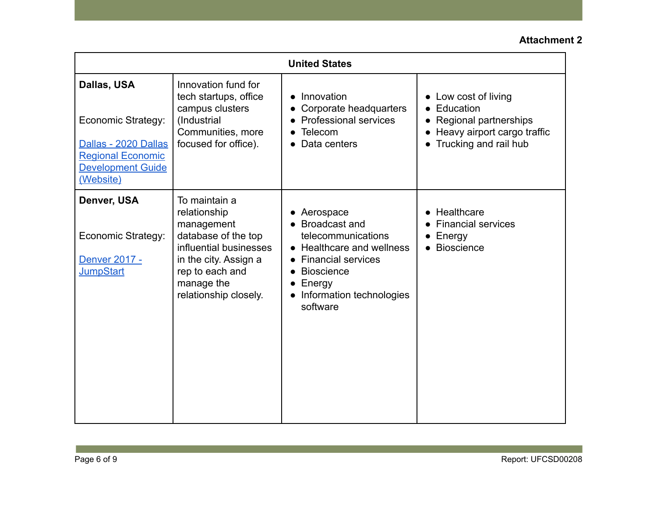| <b>United States</b>                                                                                                           |                                                                                                                                                                                 |                                                                                                                                                                                       |                                                                                                                                                         |
|--------------------------------------------------------------------------------------------------------------------------------|---------------------------------------------------------------------------------------------------------------------------------------------------------------------------------|---------------------------------------------------------------------------------------------------------------------------------------------------------------------------------------|---------------------------------------------------------------------------------------------------------------------------------------------------------|
| Dallas, USA<br>Economic Strategy:<br>Dallas - 2020 Dallas<br><b>Regional Economic</b><br><b>Development Guide</b><br>(Website) | Innovation fund for<br>tech startups, office<br>campus clusters<br>(Industrial<br>Communities, more<br>focused for office).                                                     | Innovation<br>Corporate headquarters<br><b>Professional services</b><br>Telecom<br>Data centers                                                                                       | Low cost of living<br>$\bullet$<br>Education<br>$\bullet$<br>Regional partnerships<br>Heavy airport cargo traffic<br>Trucking and rail hub<br>$\bullet$ |
| Denver, USA<br>Economic Strategy:<br>Denver 2017 -<br><b>JumpStart</b>                                                         | To maintain a<br>relationship<br>management<br>database of the top<br>influential businesses<br>in the city. Assign a<br>rep to each and<br>manage the<br>relationship closely. | • Aerospace<br>• Broadcast and<br>telecommunications<br>• Healthcare and wellness<br><b>Financial services</b><br><b>Bioscience</b><br>Energy<br>Information technologies<br>software | Healthcare<br>$\bullet$<br><b>Financial services</b><br>Energy<br><b>Bioscience</b>                                                                     |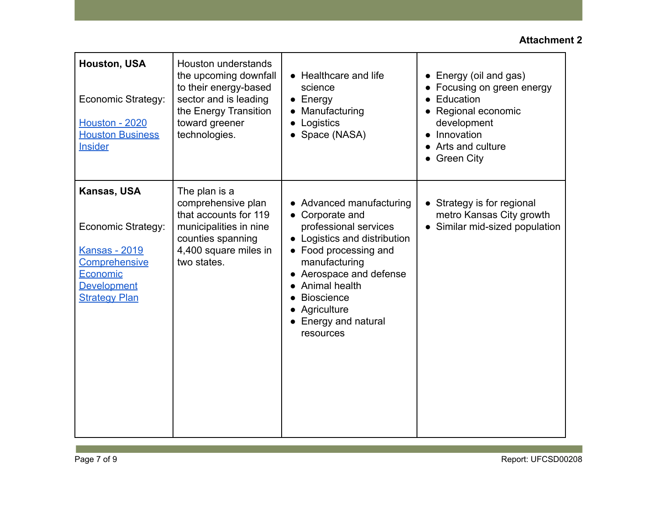| <b>Houston, USA</b><br>Economic Strategy:<br><b>Houston - 2020</b><br><b>Houston Business</b><br><b>Insider</b>                      | Houston understands<br>the upcoming downfall<br>to their energy-based<br>sector and is leading<br>the Energy Transition<br>toward greener<br>technologies. | • Healthcare and life<br>science<br>$\bullet$ Energy<br>Manufacturing<br>Logistics<br>Space (NASA)                                                                                                                                                              | Energy (oil and gas)<br>$\bullet$<br>• Focusing on green energy<br>Education<br>• Regional economic<br>development<br>Innovation<br>Arts and culture<br>• Green City |
|--------------------------------------------------------------------------------------------------------------------------------------|------------------------------------------------------------------------------------------------------------------------------------------------------------|-----------------------------------------------------------------------------------------------------------------------------------------------------------------------------------------------------------------------------------------------------------------|----------------------------------------------------------------------------------------------------------------------------------------------------------------------|
| Kansas, USA<br>Economic Strategy:<br><b>Kansas - 2019</b><br>Comprehensive<br>Economic<br><b>Development</b><br><b>Strategy Plan</b> | The plan is a<br>comprehensive plan<br>that accounts for 119<br>municipalities in nine<br>counties spanning<br>4,400 square miles in<br>two states.        | • Advanced manufacturing<br>• Corporate and<br>professional services<br>Logistics and distribution<br>• Food processing and<br>manufacturing<br>Aerospace and defense<br>Animal health<br><b>Bioscience</b><br>Agriculture<br>• Energy and natural<br>resources | • Strategy is for regional<br>metro Kansas City growth<br>• Similar mid-sized population                                                                             |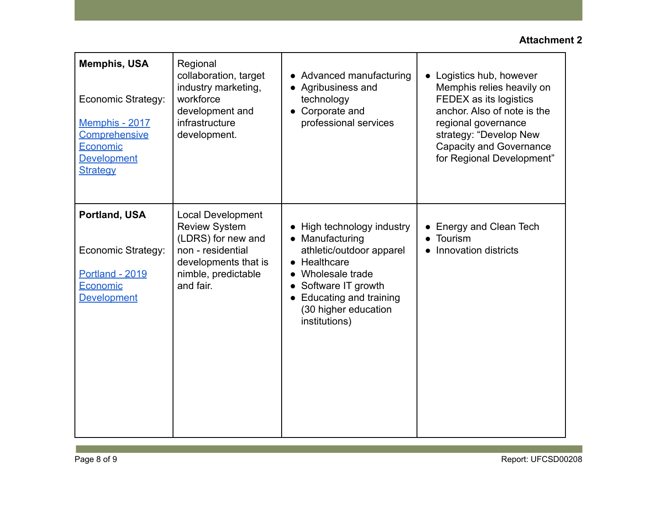| <b>Memphis, USA</b><br>Economic Strategy:<br>Memphis - 2017<br>Comprehensive<br>Economic<br><b>Development</b><br><b>Strategy</b> | Regional<br>collaboration, target<br>industry marketing,<br>workforce<br>development and<br>infrastructure<br>development.                              | • Advanced manufacturing<br>• Agribusiness and<br>technology<br>Corporate and<br>professional services                                                                                                        | Logistics hub, however<br>$\bullet$<br>Memphis relies heavily on<br>FEDEX as its logistics<br>anchor. Also of note is the<br>regional governance<br>strategy: "Develop New<br><b>Capacity and Governance</b><br>for Regional Development" |
|-----------------------------------------------------------------------------------------------------------------------------------|---------------------------------------------------------------------------------------------------------------------------------------------------------|---------------------------------------------------------------------------------------------------------------------------------------------------------------------------------------------------------------|-------------------------------------------------------------------------------------------------------------------------------------------------------------------------------------------------------------------------------------------|
| Portland, USA<br>Economic Strategy:<br><b>Portland - 2019</b><br>Economic<br><b>Development</b>                                   | <b>Local Development</b><br><b>Review System</b><br>(LDRS) for new and<br>non - residential<br>developments that is<br>nimble, predictable<br>and fair. | • High technology industry<br>Manufacturing<br>athletic/outdoor apparel<br>$\bullet$ Healthcare<br>Wholesale trade<br>Software IT growth<br>• Educating and training<br>(30 higher education<br>institutions) | Energy and Clean Tech<br>Tourism<br>Innovation districts                                                                                                                                                                                  |